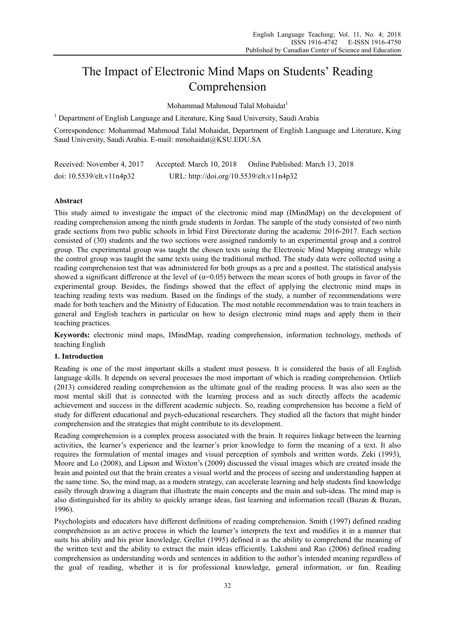# The Impact of Electronic Mind Maps on Students' Reading Comprehension

Mohammad Mahmoud Talal Mohaidat<sup>1</sup>

<sup>1</sup> Department of English Language and Literature, King Saud University, Saudi Arabia

Correspondence: Mohammad Mahmoud Talal Mohaidat, Department of English Language and Literature, King Saud University, Saudi Arabia. E-mail: mmohaidat@KSU.EDU.SA

| Received: November 4, 2017      | Accepted: March 10, 2018                 | Online Published: March 13, 2018 |
|---------------------------------|------------------------------------------|----------------------------------|
| doi: $10.5539$ /elt.v $11n4p32$ | URL: http://doi.org/10.5539/elt.v11n4p32 |                                  |

# **Abstract**

This study aimed to investigate the impact of the electronic mind map (IMindMap) on the development of reading comprehension among the ninth grade students in Jordan. The sample of the study consisted of two ninth grade sections from two public schools in Irbid First Directorate during the academic 2016-2017. Each section consisted of (30) students and the two sections were assigned randomly to an experimental group and a control group. The experimental group was taught the chosen texts using the Electronic Mind Mapping strategy while the control group was taught the same texts using the traditional method. The study data were collected using a reading comprehension test that was administered for both groups as a pre and a posttest. The statistical analysis showed a significant difference at the level of  $(\alpha=0.05)$  between the mean scores of both groups in favor of the experimental group. Besides, the findings showed that the effect of applying the electronic mind maps in teaching reading texts was medium. Based on the findings of the study, a number of recommendations were made for both teachers and the Ministry of Education. The most notable recommendation was to train teachers in general and English teachers in particular on how to design electronic mind maps and apply them in their teaching practices.

**Keywords:** electronic mind maps, IMindMap, reading comprehension, information technology, methods of teaching English

# **1. Introduction**

Reading is one of the most important skills a student must possess. It is considered the basis of all English language skills. It depends on several processes the most important of which is reading comprehension. Ortlieb (2013) considered reading comprehension as the ultimate goal of the reading process. It was also seen as the most mental skill that is connected with the learning process and as such directly affects the academic achievement and success in the different academic subjects. So, reading comprehension has become a field of study for different educational and psych-educational researchers. They studied all the factors that might hinder comprehension and the strategies that might contribute to its development.

Reading comprehension is a complex process associated with the brain. It requires linkage between the learning activities, the learner's experience and the learner's prior knowledge to form the meaning of a text. It also requires the formulation of mental images and visual perception of symbols and written words. Zeki (1993), Moore and Lo (2008), and Lipson and Wixton's (2009) discussed the visual images which are created inside the brain and pointed out that the brain creates a visual world and the process of seeing and understanding happen at the same time. So, the mind map, as a modern strategy, can accelerate learning and help students find knowledge easily through drawing a diagram that illustrate the main concepts and the main and sub-ideas. The mind map is also distinguished for its ability to quickly arrange ideas, fast learning and information recall (Buzan & Buzan, 1996).

Psychologists and educators have different definitions of reading comprehension. Smith (1997) defined reading comprehension as an active process in which the learner's interprets the text and modifies it in a manner that suits his ability and his prior knowledge. Grellet (1995) defined it as the ability to comprehend the meaning of the written text and the ability to extract the main ideas efficiently. Lakshmi and Rao (2006) defined reading comprehension as understanding words and sentences in addition to the author's intended meaning regardless of the goal of reading, whether it is for professional knowledge, general information, or fun. Reading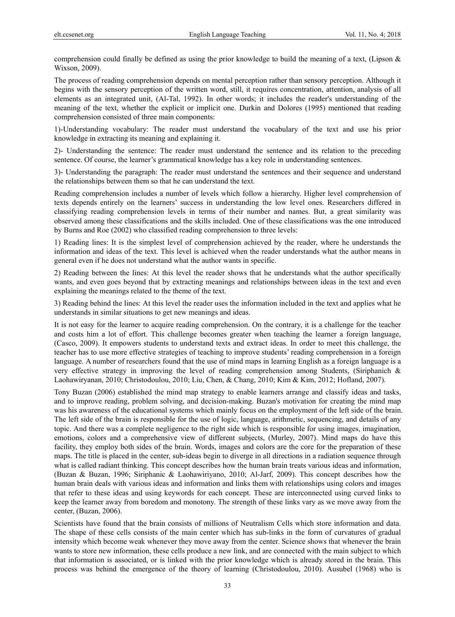comprehension could finally be defined as using the prior knowledge to build the meaning of a text, (Lipson & Wixson, 2009).

The process of reading comprehension depends on mental perception rather than sensory perception. Although it begins with the sensory perception of the written word, still, it requires concentration, attention, analysis of all elements as an integrated unit, (Al-Tal, 1992). In other words; it includes the reader's understanding of the meaning of the text, whether the explicit or implicit one. Durkin and Dolores (1995) mentioned that reading comprehension consisted of three main components:

1)-Understanding vocabulary: The reader must understand the vocabulary of the text and use his prior knowledge in extracting its meaning and explaining it.

2)- Understanding the sentence: The reader must understand the sentence and its relation to the preceding sentence. Of course, the learner's grammatical knowledge has a key role in understanding sentences.

3)- Understanding the paragraph: The reader must understand the sentences and their sequence and understand the relationships between them so that he can understand the text.

Reading comprehension includes a number of levels which follow a hierarchy. Higher level comprehension of texts depends entirely on the learners' success in understanding the low level ones. Researchers differed in classifying reading comprehension levels in terms of their number and names. But, a great similarity was observed among these classifications and the skills included. One of these classifications was the one introduced by Burns and Roe (2002) who classified reading comprehension to three levels:

1) Reading lines: It is the simplest level of comprehension achieved by the reader, where he understands the information and ideas of the text. This level is achieved when the reader understands what the author means in general even if he does not understand what the author wants in specific.

2) Reading between the lines: At this level the reader shows that he understands what the author specifically wants, and even goes beyond that by extracting meanings and relationships between ideas in the text and even explaining the meanings related to the theme of the text.

3) Reading behind the lines: At this level the reader uses the information included in the text and applies what he understands in similar situations to get new meanings and ideas.

It is not easy for the learner to acquire reading comprehension. On the contrary, it is a challenge for the teacher and costs him a lot of effort. This challenge becomes greater when teaching the learner a foreign language, (Casco, 2009). It empowers students to understand texts and extract ideas. In order to meet this challenge, the teacher has to use more effective strategies of teaching to improve students' reading comprehension in a foreign language. A number of researchers found that the use of mind maps in learning English as a foreign language is a very effective strategy in improving the level of reading comprehension among Students, (Siriphanich & Laohawiryanan, 2010; Christodoulou, 2010; Liu, Chen, & Chang, 2010; Kim & Kim, 2012; Hofland, 2007).

Tony Buzan (2006) established the mind map strategy to enable learners arrange and classify ideas and tasks, and to improve reading, problem solving, and decision-making. Buzan's motivation for creating the mind map was his awareness of the educational systems which mainly focus on the employment of the left side of the brain. The left side of the brain is responsible for the use of logic, language, arithmetic, sequencing, and details of any topic. And there was a complete negligence to the right side which is responsible for using images, imagination, emotions, colors and a comprehensive view of different subjects, (Murley, 2007). Mind maps do have this facility, they employ both sides of the brain. Words, images and colors are the core for the preparation of these maps. The title is placed in the center, sub-ideas begin to diverge in all directions in a radiation sequence through what is called radiant thinking. This concept describes how the human brain treats various ideas and information, (Buzan & Buzan, 1996; Siriphanic & Laohawiriyano, 2010; Al-Jarf, 2009). This concept describes how the human brain deals with various ideas and information and links them with relationships using colors and images that refer to these ideas and using keywords for each concept. These are interconnected using curved links to keep the learner away from boredom and monotony. The strength of these links vary as we move away from the center, (Buzan, 2006).

Scientists have found that the brain consists of millions of Neutralism Cells which store information and data. The shape of these cells consists of the main center which has sub-links in the form of curvatures of gradual intensity which become weak whenever they move away from the center. Science shows that whenever the brain wants to store new information, these cells produce a new link, and are connected with the main subject to which that information is associated, or is linked with the prior knowledge which is already stored in the brain. This process was behind the emergence of the theory of learning (Christodoulou, 2010). Ausubel (1968) who is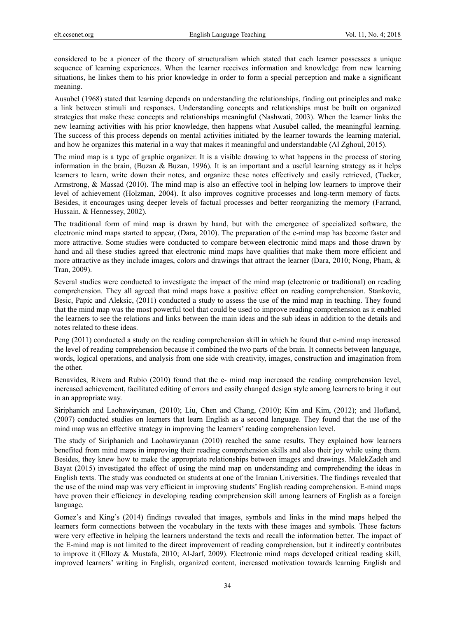considered to be a pioneer of the theory of structuralism which stated that each learner possesses a unique sequence of learning experiences. When the learner receives information and knowledge from new learning situations, he linkes them to his prior knowledge in order to form a special perception and make a significant meaning.

Ausubel (1968) stated that learning depends on understanding the relationships, finding out principles and make a link between stimuli and responses. Understanding concepts and relationships must be built on organized strategies that make these concepts and relationships meaningful (Nashwati, 2003). When the learner links the new learning activities with his prior knowledge, then happens what Ausubel called, the meaningful learning. The success of this process depends on mental activities initiated by the learner towards the learning material, and how he organizes this material in a way that makes it meaningful and understandable (Al Zghoul, 2015).

The mind map is a type of graphic organizer. It is a visible drawing to what happens in the process of storing information in the brain, (Buzan & Buzan, 1996). It is an important and a useful learning strategy as it helps learners to learn, write down their notes, and organize these notes effectively and easily retrieved, (Tucker, Armstrong, & Massad (2010). The mind map is also an effective tool in helping low learners to improve their level of achievement (Holzman, 2004). It also improves cognitive processes and long-term memory of facts. Besides, it encourages using deeper levels of factual processes and better reorganizing the memory (Farrand, Hussain, & Hennessey, 2002).

The traditional form of mind map is drawn by hand, but with the emergence of specialized software, the electronic mind maps started to appear, (Dara, 2010). The preparation of the e-mind map has become faster and more attractive. Some studies were conducted to compare between electronic mind maps and those drawn by hand and all these studies agreed that electronic mind maps have qualities that make them more efficient and more attractive as they include images, colors and drawings that attract the learner (Dara, 2010; Nong, Pham, & Tran, 2009).

Several studies were conducted to investigate the impact of the mind map (electronic or traditional) on reading comprehension. They all agreed that mind maps have a positive effect on reading comprehension. Stankovic, Besic, Papic and Aleksic, (2011) conducted a study to assess the use of the mind map in teaching. They found that the mind map was the most powerful tool that could be used to improve reading comprehension as it enabled the learners to see the relations and links between the main ideas and the sub ideas in addition to the details and notes related to these ideas.

Peng (2011) conducted a study on the reading comprehension skill in which he found that e-mind map increased the level of reading comprehension because it combined the two parts of the brain. It connects between language, words, logical operations, and analysis from one side with creativity, images, construction and imagination from the other.

Benavides, Rivera and Rubio (2010) found that the e- mind map increased the reading comprehension level, increased achievement, facilitated editing of errors and easily changed design style among learners to bring it out in an appropriate way.

Siriphanich and Laohawiryanan, (2010); Liu, Chen and Chang, (2010); Kim and Kim, (2012); and Hofland, (2007) conducted studies on learners that learn English as a second language. They found that the use of the mind map was an effective strategy in improving the learners' reading comprehension level.

The study of Siriphanich and Laohawiryanan (2010) reached the same results. They explained how learners benefited from mind maps in improving their reading comprehension skills and also their joy while using them. Besides, they knew how to make the appropriate relationships between images and drawings. MalekZadeh and Bayat (2015) investigated the effect of using the mind map on understanding and comprehending the ideas in English texts. The study was conducted on students at one of the Iranian Universities. The findings revealed that the use of the mind map was very efficient in improving students' English reading comprehension. E-mind maps have proven their efficiency in developing reading comprehension skill among learners of English as a foreign language.

Gomez's and King's (2014) findings revealed that images, symbols and links in the mind maps helped the learners form connections between the vocabulary in the texts with these images and symbols. These factors were very effective in helping the learners understand the texts and recall the information better. The impact of the E-mind map is not limited to the direct improvement of reading comprehension, but it indirectly contributes to improve it (Ellozy & Mustafa, 2010; Al-Jarf, 2009). Electronic mind maps developed critical reading skill, improved learners' writing in English, organized content, increased motivation towards learning English and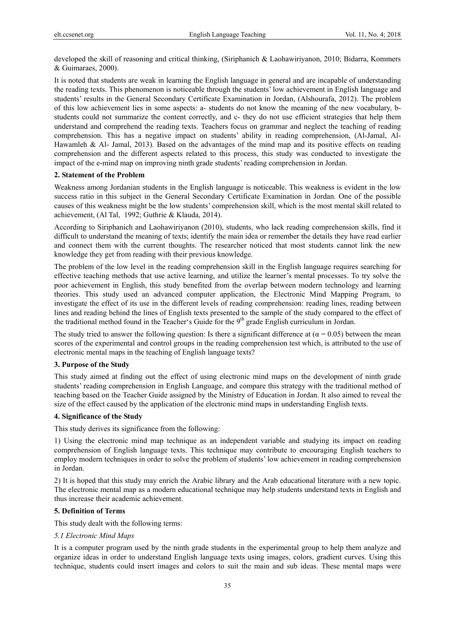developed the skill of reasoning and critical thinking, (Siriphanich & Laohawiriyanon, 2010; Bidarra, Kommers & Guimaraes, 2000).

It is noted that students are weak in learning the English language in general and are incapable of understanding the reading texts. This phenomenon is noticeable through the students' low achievement in English language and students' results in the General Secondary Certificate Examination in Jordan, (Alshourafa, 2012). The problem of this low achievement lies in some aspects: a- students do not know the meaning of the new vocabulary, bstudents could not summarize the content correctly, and c- they do not use efficient strategies that help them understand and comprehend the reading texts. Teachers focus on grammar and neglect the teaching of reading comprehension. This has a negative impact on students' ability in reading comprehension, (Al-Jamal, Al-Hawamleh & Al- Jamal, 2013). Based on the advantages of the mind map and its positive effects on reading comprehension and the different aspects related to this process, this study was conducted to investigate the impact of the e-mind map on improving ninth grade students' reading comprehension in Jordan.

## **2. Statement of the Problem**

Weakness among Jordanian students in the English language is noticeable. This weakness is evident in the low success ratio in this subject in the General Secondary Certificate Examination in Jordan. One of the possible causes of this weakness might be the low students' comprehension skill, which is the most mental skill related to achievement, (Al Tal, 1992; Guthrie & Klauda, 2014).

According to Siriphanich and Laohawiriyanon (2010), students, who lack reading comprehension skills, find it difficult to understand the meaning of texts; identify the main idea or remember the details they have read earlier and connect them with the current thoughts. The researcher noticed that most students cannot link the new knowledge they get from reading with their previous knowledge.

The problem of the low level in the reading comprehension skill in the English language requires searching for effective teaching methods that use active learning, and utilize the learner's mental processes. To try solve the poor achievement in English, this study benefited from the overlap between modern technology and learning theories. This study used an advanced computer application, the Electronic Mind Mapping Program, to investigate the effect of its use in the different levels of reading comprehension: reading lines, reading between lines and reading behind the lines of English texts presented to the sample of the study compared to the effect of the traditional method found in the Teacher's Guide for the 9<sup>th</sup> grade English curriculum in Jordan.

The study tried to answer the following question: Is there a significant difference at  $(\alpha = 0.05)$  between the mean scores of the experimental and control groups in the reading comprehension test which, is attributed to the use of electronic mental maps in the teaching of English language texts?

# **3. Purpose of the Study**

This study aimed at finding out the effect of using electronic mind maps on the development of ninth grade students' reading comprehension in English Language, and compare this strategy with the traditional method of teaching based on the Teacher Guide assigned by the Ministry of Education in Jordan. It also aimed to reveal the size of the effect caused by the application of the electronic mind maps in understanding English texts.

#### **4. Significance of the Study**

This study derives its significance from the following:

1) Using the electronic mind map technique as an independent variable and studying its impact on reading comprehension of English language texts. This technique may contribute to encouraging English teachers to employ modern techniques in order to solve the problem of students' low achievement in reading comprehension in Jordan.

2) It is hoped that this study may enrich the Arabic library and the Arab educational literature with a new topic. The electronic mental map as a modern educational technique may help students understand texts in English and thus increase their academic achievement.

#### **5. Definition of Terms**

This study dealt with the following terms:

#### *5.1 Electronic Mind Maps*

It is a computer program used by the ninth grade students in the experimental group to help them analyze and organize ideas in order to understand English language texts using images, colors, gradient curves. Using this technique, students could insert images and colors to suit the main and sub ideas. These mental maps were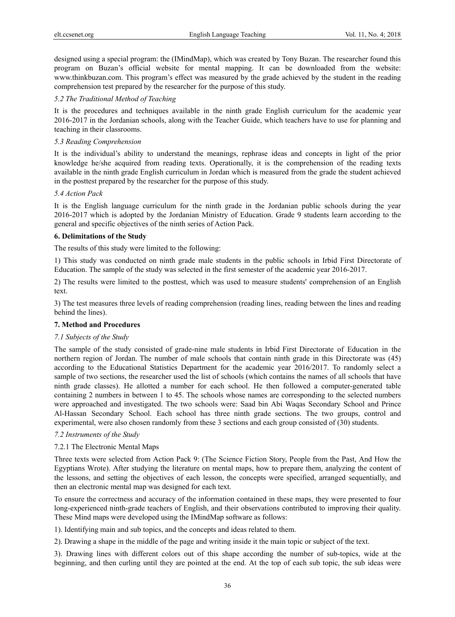designed using a special program: the (IMindMap), which was created by Tony Buzan. The researcher found this program on Buzan's official website for mental mapping. It can be downloaded from the website: www.thinkbuzan.com. This program's effect was measured by the grade achieved by the student in the reading comprehension test prepared by the researcher for the purpose of this study.

#### *5.2 The Traditional Method of Teaching*

It is the procedures and techniques available in the ninth grade English curriculum for the academic year 2016-2017 in the Jordanian schools, along with the Teacher Guide, which teachers have to use for planning and teaching in their classrooms.

#### *5.3 Reading Comprehension*

It is the individual's ability to understand the meanings, rephrase ideas and concepts in light of the prior knowledge he/she acquired from reading texts. Operationally, it is the comprehension of the reading texts available in the ninth grade English curriculum in Jordan which is measured from the grade the student achieved in the posttest prepared by the researcher for the purpose of this study.

#### *5.4 Action Pack*

It is the English language curriculum for the ninth grade in the Jordanian public schools during the year 2016-2017 which is adopted by the Jordanian Ministry of Education. Grade 9 students learn according to the general and specific objectives of the ninth series of Action Pack.

#### **6. Delimitations of the Study**

The results of this study were limited to the following:

1) This study was conducted on ninth grade male students in the public schools in Irbid First Directorate of Education. The sample of the study was selected in the first semester of the academic year 2016-2017.

2) The results were limited to the posttest, which was used to measure students' comprehension of an English text.

3) The test measures three levels of reading comprehension (reading lines, reading between the lines and reading behind the lines).

#### **7. Method and Procedures**

#### *7.1 Subjects of the Study*

The sample of the study consisted of grade-nine male students in Irbid First Directorate of Education in the northern region of Jordan. The number of male schools that contain ninth grade in this Directorate was (45) according to the Educational Statistics Department for the academic year 2016/2017. To randomly select a sample of two sections, the researcher used the list of schools (which contains the names of all schools that have ninth grade classes). He allotted a number for each school. He then followed a computer-generated table containing 2 numbers in between 1 to 45. The schools whose names are corresponding to the selected numbers were approached and investigated. The two schools were: Saad bin Abi Waqas Secondary School and Prince Al-Hassan Secondary School. Each school has three ninth grade sections. The two groups, control and experimental, were also chosen randomly from these 3 sections and each group consisted of (30) students.

#### *7.2 Instruments of the Study*

#### 7.2.1 The Electronic Mental Maps

Three texts were selected from Action Pack 9: (The Science Fiction Story, People from the Past, And How the Egyptians Wrote). After studying the literature on mental maps, how to prepare them, analyzing the content of the lessons, and setting the objectives of each lesson, the concepts were specified, arranged sequentially, and then an electronic mental map was designed for each text.

To ensure the correctness and accuracy of the information contained in these maps, they were presented to four long-experienced ninth-grade teachers of English, and their observations contributed to improving their quality. These Mind maps were developed using the IMindMap software as follows:

1). Identifying main and sub topics, and the concepts and ideas related to them.

2). Drawing a shape in the middle of the page and writing inside it the main topic or subject of the text.

3). Drawing lines with different colors out of this shape according the number of sub-topics, wide at the beginning, and then curling until they are pointed at the end. At the top of each sub topic, the sub ideas were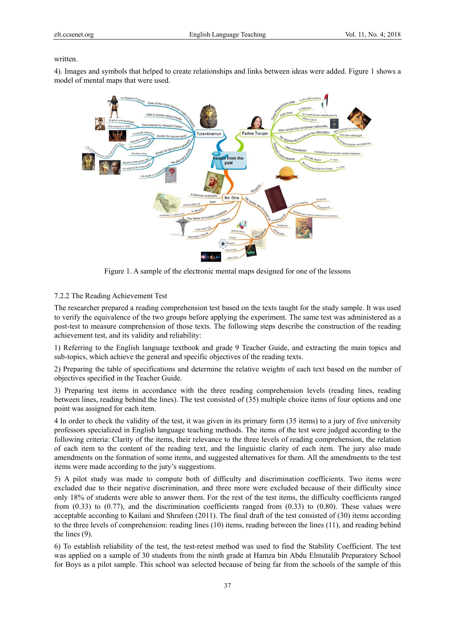#### written.

4). Images and symbols that helped to create relationships and links between ideas were added. Figure 1 shows a model of mental maps that were used.



Figure 1. A sample of the electronic mental maps designed for one of the lessons

## 7.2.2 The Reading Achievement Test

The researcher prepared a reading comprehension test based on the texts taught for the study sample. It was used to verify the equivalence of the two groups before applying the experiment. The same test was administered as a post-test to measure comprehension of those texts. The following steps describe the construction of the reading achievement test, and its validity and reliability:

1) Referring to the English language textbook and grade 9 Teacher Guide, and extracting the main topics and sub-topics, which achieve the general and specific objectives of the reading texts.

2) Preparing the table of specifications and determine the relative weights of each text based on the number of objectives specified in the Teacher Guide.

3) Preparing test items in accordance with the three reading comprehension levels (reading lines, reading between lines, reading behind the lines). The test consisted of (35) multiple choice items of four options and one point was assigned for each item.

4 In order to check the validity of the test, it was given in its primary form (35 items) to a jury of five university professors specialized in English language teaching methods. The items of the test were judged according to the following criteria: Clarity of the items, their relevance to the three levels of reading comprehension, the relation of each item to the content of the reading text, and the linguistic clarity of each item. The jury also made amendments on the formation of some items, and suggested alternatives for them. All the amendments to the test items were made according to the jury's suggestions.

5) A pilot study was made to compute both of difficulty and discrimination coefficients. Two items were excluded due to their negative discrimination, and three more were excluded because of their difficulty since only 18% of students were able to answer them. For the rest of the test items, the difficulty coefficients ranged from (0.33) to (0.77), and the discrimination coefficients ranged from (0.33) to (0.80). These values were acceptable according to Kailani and Shrafeen (2011). The final draft of the test consisted of (30) items according to the three levels of comprehension: reading lines (10) items, reading between the lines (11), and reading behind the lines (9).

6) To establish reliability of the test, the test-retest method was used to find the Stability Coefficient. The test was applied on a sample of 30 students from the ninth grade at Hamza bin Abdu Elmutalib Preparatory School for Boys as a pilot sample. This school was selected because of being far from the schools of the sample of this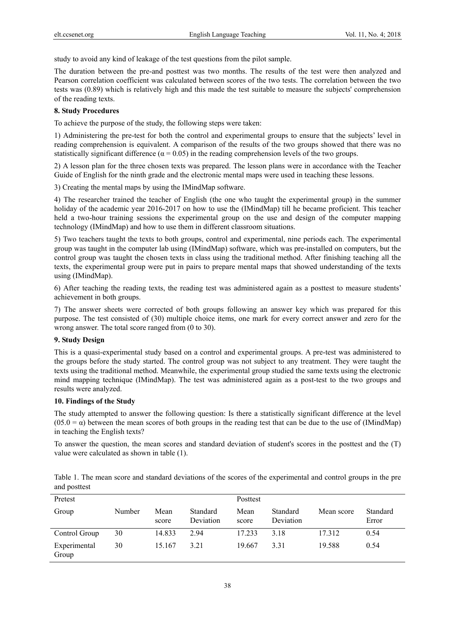study to avoid any kind of leakage of the test questions from the pilot sample.

The duration between the pre-and posttest was two months. The results of the test were then analyzed and Pearson correlation coefficient was calculated between scores of the two tests. The correlation between the two tests was (0.89) which is relatively high and this made the test suitable to measure the subjects' comprehension of the reading texts.

## **8. Study Procedures**

To achieve the purpose of the study, the following steps were taken:

1) Administering the pre-test for both the control and experimental groups to ensure that the subjects' level in reading comprehension is equivalent. A comparison of the results of the two groups showed that there was no statistically significant difference ( $\alpha$  = 0.05) in the reading comprehension levels of the two groups.

2) A lesson plan for the three chosen texts was prepared. The lesson plans were in accordance with the Teacher Guide of English for the ninth grade and the electronic mental maps were used in teaching these lessons.

3) Creating the mental maps by using the IMindMap software.

4) The researcher trained the teacher of English (the one who taught the experimental group) in the summer holiday of the academic year 2016-2017 on how to use the (IMindMap) till he became proficient. This teacher held a two-hour training sessions the experimental group on the use and design of the computer mapping technology (IMindMap) and how to use them in different classroom situations.

5) Two teachers taught the texts to both groups, control and experimental, nine periods each. The experimental group was taught in the computer lab using (IMindMap) software, which was pre-installed on computers, but the control group was taught the chosen texts in class using the traditional method. After finishing teaching all the texts, the experimental group were put in pairs to prepare mental maps that showed understanding of the texts using (IMindMap).

6) After teaching the reading texts, the reading test was administered again as a posttest to measure students' achievement in both groups.

7) The answer sheets were corrected of both groups following an answer key which was prepared for this purpose. The test consisted of (30) multiple choice items, one mark for every correct answer and zero for the wrong answer. The total score ranged from (0 to 30).

## **9. Study Design**

This is a quasi-experimental study based on a control and experimental groups. A pre-test was administered to the groups before the study started. The control group was not subject to any treatment. They were taught the texts using the traditional method. Meanwhile, the experimental group studied the same texts using the electronic mind mapping technique (IMindMap). The test was administered again as a post-test to the two groups and results were analyzed.

#### **10. Findings of the Study**

The study attempted to answer the following question: Is there a statistically significant difference at the level  $(05.0 = \alpha)$  between the mean scores of both groups in the reading test that can be due to the use of (IMindMap) in teaching the English texts?

To answer the question, the mean scores and standard deviation of student's scores in the posttest and the (T) value were calculated as shown in table (1).

| Table 1. The mean score and standard deviations of the scores of the experimental and control groups in the pre |  |  |  |  |
|-----------------------------------------------------------------------------------------------------------------|--|--|--|--|
| and posttest                                                                                                    |  |  |  |  |

| Pretest               |        |               |                       | Posttest      |                       |            |                   |  |  |
|-----------------------|--------|---------------|-----------------------|---------------|-----------------------|------------|-------------------|--|--|
| Group                 | Number | Mean<br>score | Standard<br>Deviation | Mean<br>score | Standard<br>Deviation | Mean score | Standard<br>Error |  |  |
| Control Group         | 30     | 14.833        | 2.94                  | 17.233        | 3.18                  | 17.312     | 0.54              |  |  |
| Experimental<br>Group | 30     | 15.167        | 3.21                  | 19.667        | 3.31                  | 19.588     | 0.54              |  |  |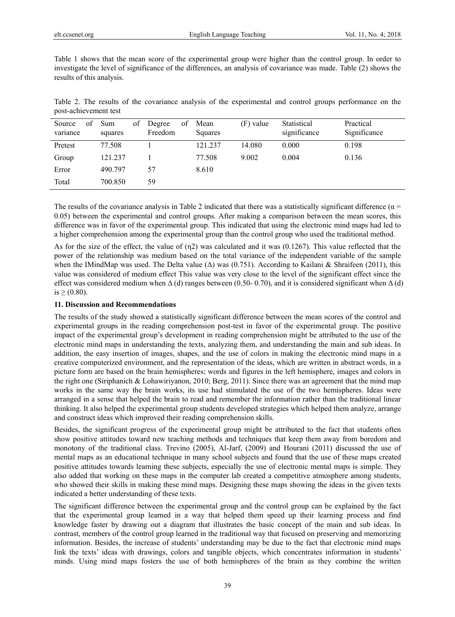Table 1 shows that the mean score of the experimental group were higher than the control group. In order to investigate the level of significance of the differences, an analysis of covariance was made. Table (2) shows the results of this analysis.

Table 2. The results of the covariance analysis of the experimental and control groups performance on the post-achievement test

| Source<br>variance | of | Sum<br>squares | οf | Degree<br>Freedom | of | Mean<br>Squares | (F) value | Statistical<br>significance | Practical<br>Significance |
|--------------------|----|----------------|----|-------------------|----|-----------------|-----------|-----------------------------|---------------------------|
| Pretest            |    | 77.508         |    |                   |    | 121.237         | 14.080    | 0.000                       | 0.198                     |
| Group              |    | 121.237        |    |                   |    | 77.508          | 9.002     | 0.004                       | 0.136                     |
| Error              |    | 490.797        |    | 57                |    | 8.610           |           |                             |                           |
| Total              |    | 700.850        |    | 59.               |    |                 |           |                             |                           |

The results of the covariance analysis in Table 2 indicated that there was a statistically significant difference ( $\alpha$  = 0.05) between the experimental and control groups. After making a comparison between the mean scores, this difference was in favor of the experimental group. This indicated that using the electronic mind maps had led to a higher comprehension among the experimental group than the control group who used the traditional method.

As for the size of the effect, the value of  $(\eta_2)$  was calculated and it was  $(0.1267)$ . This value reflected that the power of the relationship was medium based on the total variance of the independent variable of the sample when the IMindMap was used. The Delta value ( $\Delta$ ) was (0.751). According to Kailani & Shraifeen (2011), this value was considered of medium effect This value was very close to the level of the significant effect since the effect was considered medium when  $\Delta$  (d) ranges between (0.50- 0.70), and it is considered significant when  $\Delta$  (d) is ≥ (0.80).

## **11. Discussion and Recommendations**

The results of the study showed a statistically significant difference between the mean scores of the control and experimental groups in the reading comprehension post-test in favor of the experimental group. The positive impact of the experimental group's development in reading comprehension might be attributed to the use of the electronic mind maps in understanding the texts, analyzing them, and understanding the main and sub ideas. In addition, the easy insertion of images, shapes, and the use of colors in making the electronic mind maps in a creative computerized environment, and the representation of the ideas, which are written in abstract words, in a picture form are based on the brain hemispheres; words and figures in the left hemisphere, images and colors in the right one (Siriphanich & Lohawiriyanon, 2010; Berg, 2011). Since there was an agreement that the mind map works in the same way the brain works, its use had stimulated the use of the two hemispheres. Ideas were arranged in a sense that helped the brain to read and remember the information rather than the traditional linear thinking. It also helped the experimental group students developed strategies which helped them analyze, arrange and construct ideas which improved their reading comprehension skills.

Besides, the significant progress of the experimental group might be attributed to the fact that students often show positive attitudes toward new teaching methods and techniques that keep them away from boredom and monotony of the traditional class. Trevino (2005), Al-Jarf, (2009) and Hourani (2011) discussed the use of mental maps as an educational technique in many school subjects and found that the use of these maps created positive attitudes towards learning these subjects, especially the use of electronic mental maps is simple. They also added that working on these maps in the computer lab created a competitive atmosphere among students, who showed their skills in making these mind maps. Designing these maps showing the ideas in the given texts indicated a better understanding of these texts.

The significant difference between the experimental group and the control group can be explained by the fact that the experimental group learned in a way that helped them speed up their learning process and find knowledge faster by drawing out a diagram that illustrates the basic concept of the main and sub ideas. In contrast, members of the control group learned in the traditional way that focused on preserving and memorizing information. Besides, the increase of students' understanding may be due to the fact that electronic mind maps link the texts' ideas with drawings, colors and tangible objects, which concentrates information in students' minds. Using mind maps fosters the use of both hemispheres of the brain as they combine the written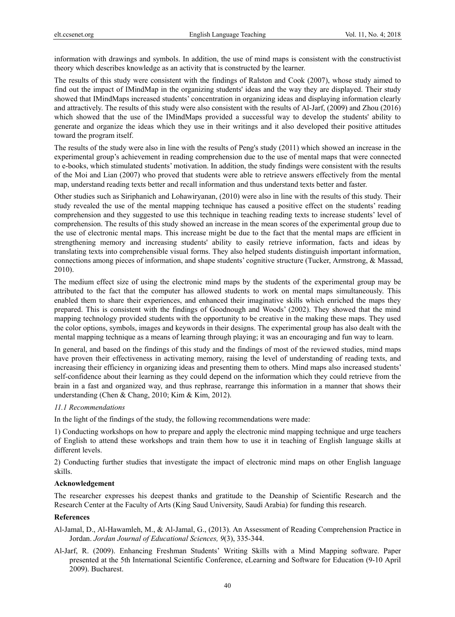information with drawings and symbols. In addition, the use of mind maps is consistent with the constructivist theory which describes knowledge as an activity that is constructed by the learner.

The results of this study were consistent with the findings of Ralston and Cook (2007), whose study aimed to find out the impact of IMindMap in the organizing students' ideas and the way they are displayed. Their study showed that IMindMaps increased students' concentration in organizing ideas and displaying information clearly and attractively. The results of this study were also consistent with the results of Al-Jarf, (2009) and Zhou (2016) which showed that the use of the IMindMaps provided a successful way to develop the students' ability to generate and organize the ideas which they use in their writings and it also developed their positive attitudes toward the program itself.

The results of the study were also in line with the results of Peng's study (2011) which showed an increase in the experimental group's achievement in reading comprehension due to the use of mental maps that were connected to e-books, which stimulated students' motivation. In addition, the study findings were consistent with the results of the Moi and Lian (2007) who proved that students were able to retrieve answers effectively from the mental map, understand reading texts better and recall information and thus understand texts better and faster.

Other studies such as Siriphanich and Lohawiryanan, (2010) were also in line with the results of this study. Their study revealed the use of the mental mapping technique has caused a positive effect on the students' reading comprehension and they suggested to use this technique in teaching reading texts to increase students' level of comprehension. The results of this study showed an increase in the mean scores of the experimental group due to the use of electronic mental maps. This increase might be due to the fact that the mental maps are efficient in strengthening memory and increasing students' ability to easily retrieve information, facts and ideas by translating texts into comprehensible visual forms. They also helped students distinguish important information, connections among pieces of information, and shape students' cognitive structure (Tucker, Armstrong, & Massad, 2010).

The medium effect size of using the electronic mind maps by the students of the experimental group may be attributed to the fact that the computer has allowed students to work on mental maps simultaneously. This enabled them to share their experiences, and enhanced their imaginative skills which enriched the maps they prepared. This is consistent with the findings of Goodnough and Woods' (2002). They showed that the mind mapping technology provided students with the opportunity to be creative in the making these maps. They used the color options, symbols, images and keywords in their designs. The experimental group has also dealt with the mental mapping technique as a means of learning through playing; it was an encouraging and fun way to learn.

In general, and based on the findings of this study and the findings of most of the reviewed studies, mind maps have proven their effectiveness in activating memory, raising the level of understanding of reading texts, and increasing their efficiency in organizing ideas and presenting them to others. Mind maps also increased students' self-confidence about their learning as they could depend on the information which they could retrieve from the brain in a fast and organized way, and thus rephrase, rearrange this information in a manner that shows their understanding (Chen & Chang, 2010; Kim & Kim, 2012).

#### *11.1 Recommendations*

In the light of the findings of the study, the following recommendations were made:

1) Conducting workshops on how to prepare and apply the electronic mind mapping technique and urge teachers of English to attend these workshops and train them how to use it in teaching of English language skills at different levels.

2) Conducting further studies that investigate the impact of electronic mind maps on other English language skills.

#### **Acknowledgement**

The researcher expresses his deepest thanks and gratitude to the Deanship of Scientific Research and the Research Center at the Faculty of Arts (King Saud University, Saudi Arabia) for funding this research.

#### **References**

- Al-Jamal, D., Al-Hawamleh, M., & Al-Jamal, G., (2013). An Assessment of Reading Comprehension Practice in Jordan. *Jordan Journal of Educational Sciences, 9*(3), 335-344.
- Al-Jarf, R. (2009). Enhancing Freshman Students' Writing Skills with a Mind Mapping software. Paper presented at the 5th International Scientific Conference, eLearning and Software for Education (9-10 April 2009). Bucharest.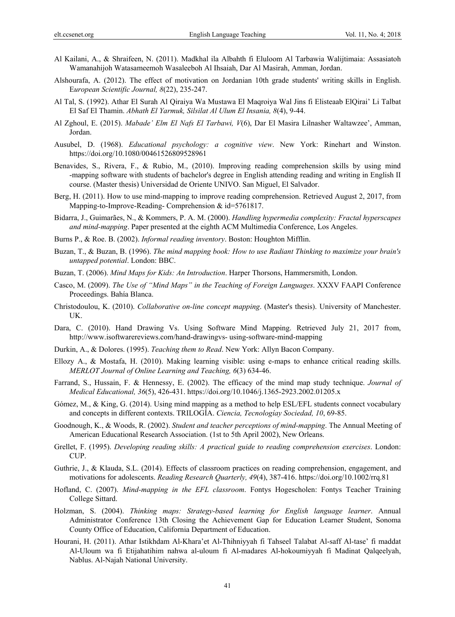- Al Kailani, A., & Shraifeen, N. (2011). Madkhal ila Albahth fi Eluloom Al Tarbawia Walijtimaia: Assasiatoh Wamanahijoh Watasameemoh Wasaleeboh Al Ihsaiah, Dar Al Masirah, Amman, Jordan.
- Alshourafa, A. (2012). The effect of motivation on Jordanian 10th grade students' writing skills in English. E*uropean Scientific Journal, 8*(22), 235-247.
- Al Tal, S. (1992). Athar El Surah Al Qiraiya Wa Mustawa El Maqroiya Wal Jins fi Elisteaab ElQirai' Li Talbat El Saf El Thamin. *Abhath El Yarmuk, Silsilat Al Ulum El Insania, 8*(4), 9-44.
- Al Zghoul, E. (2015). *Mabade' Elm El Nafs El Tarbawi, V*(6), Dar El Masira Lilnasher Waltawzee', Amman, Jordan.
- Ausubel, D. (1968). *Educational psychology: a cognitive view*. New York: Rinehart and Winston. https://doi.org/10.1080/00461526809528961
- Benavides, S., Rivera, F., & Rubio, M., (2010). Improving reading comprehension skills by using mind -mapping software with students of bachelor's degree in English attending reading and writing in English II course. (Master thesis) Universidad de Oriente UNIVO. San Miguel, El Salvador.
- Berg, H. (2011). How to use mind-mapping to improve reading comprehension. Retrieved August 2, 2017, from Mapping-to-Improve-Reading- Comprehension & id=5761817.
- Bidarra, J., Guimarães, N., & Kommers, P. A. M. (2000). *Handling hypermedia complexity: Fractal hyperscapes and mind-mapping*. Paper presented at the eighth ACM Multimedia Conference, Los Angeles.
- Burns P., & Roe. B. (2002). *Informal reading inventory*. Boston: Houghton Mifflin.
- Buzan, T., & Buzan, B. (1996). *The mind mapping book: How to use Radiant Thinking to maximize your brain's untapped potential*. London: BBC.
- Buzan, T. (2006). *Mind Maps for Kids: An Introduction*. Harper Thorsons, Hammersmith, London.
- Casco, M. (2009). *The Use of "Mind Maps" in the Teaching of Foreign Languages*. XXXV FAAPI Conference Proceedings. Bahía Blanca.
- Christodoulou, K. (2010). *Collaborative on-line concept mapping*. (Master's thesis). University of Manchester. UK.
- Dara, C. (2010). Hand Drawing Vs. Using Software Mind Mapping. Retrieved July 21, 2017 from, http://www.isoftwarereviews.com/hand-drawingvs- using-software-mind-mapping
- Durkin, A., & Dolores. (1995). *Teaching them to Read*. New York: Allyn Bacon Company.
- Ellozy A., & Mostafa, H. (2010). Making learning visible: using e-maps to enhance critical reading skills. *MERLOT Journal of Online Learning and Teaching, 6*(3) 634-46.
- Farrand, S., Hussain, F. & Hennessy, E. (2002). The efficacy of the mind map study technique. *Journal of Medical Educational, 36*(5), 426-431. https://doi.org/10.1046/j.1365-2923.2002.01205.x
- Gómez, M., & King, G. (2014). Using mind mapping as a method to help ESL/EFL students connect vocabulary and concepts in different contexts. TRILOGÍA. *Ciencia, Tecnologíay Sociedad, 10*, 69-85.
- Goodnough, K., & Woods, R. (2002). *Student and teacher perceptions of mind-mapping*. The Annual Meeting of American Educational Research Association. (1st to 5th April 2002), New Orleans.
- Grellet, F. (1995). *Developing reading skills: A practical guide to reading comprehension exercises*. London: CUP.
- Guthrie, J., & Klauda, S.L. (2014). Effects of classroom practices on reading comprehension, engagement, and motivations for adolescents. *Reading Research Quarterly, 49*(4), 387-416. https://doi.org/10.1002/rrq.81
- Hofland, C. (2007). *Mind-mapping in the EFL classroom*. Fontys Hogescholen: Fontys Teacher Training College Sittard.
- Holzman, S. (2004). *Thinking maps: Strategy-based learning for English language learner*. Annual Administrator Conference 13th Closing the Achievement Gap for Education Learner Student, Sonoma County Office of Education, California Department of Education.
- Hourani, H. (2011). Athar Istikhdam Al-Khara'et Al-Thihniyyah fi Tahseel Talabat Al-saff Al-tase' fi maddat Al-Uloum wa fi Etijahatihim nahwa al-uloum fi Al-madares Al-hokoumiyyah fi Madinat Qalqeelyah, Nablus. Al-Najah National University.